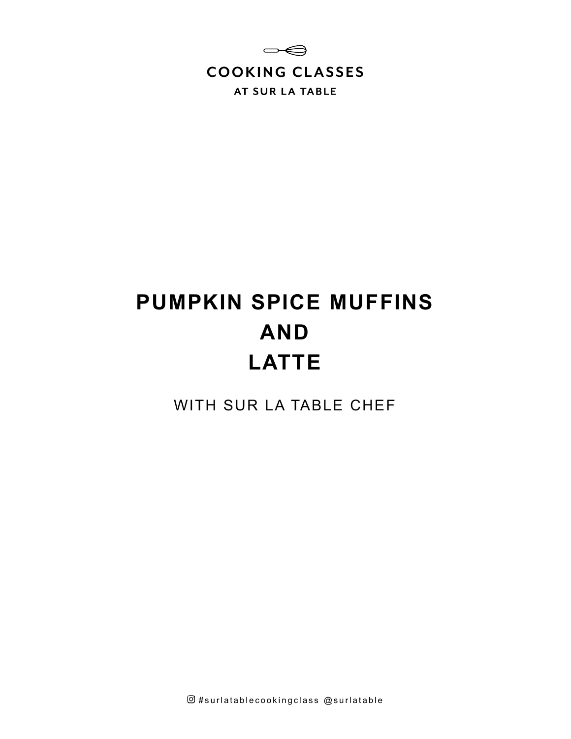

# **PUMPKIN SPICE MUFFINS AND LATTE**

WITH SUR LA TABLE CHEF

 $@$ #surlatablecookingclass  $@$ surlatable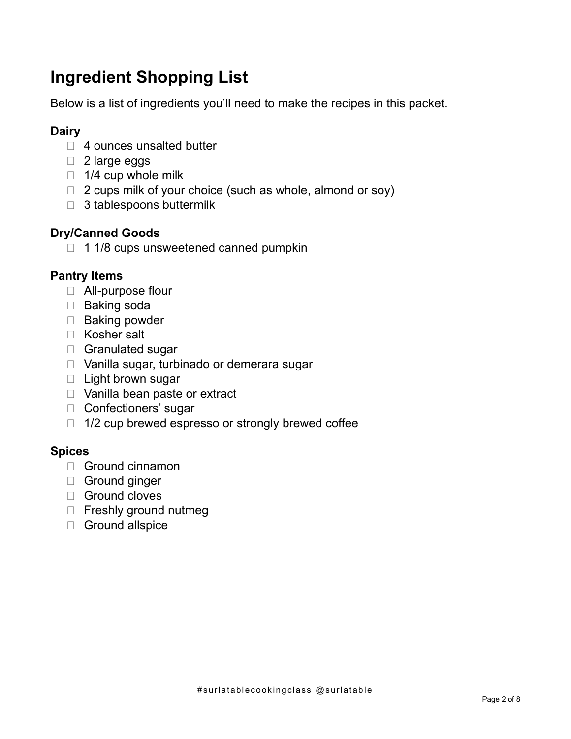# **Ingredient Shopping List**

Below is a list of ingredients you'll need to make the recipes in this packet.

# **Dairy**

- $\Box$  4 ounces unsalted butter
- □ 2 large eggs
- $\Box$  1/4 cup whole milk
- $\Box$  2 cups milk of your choice (such as whole, almond or soy)
- $\Box$  3 tablespoons buttermilk

# **Dry/Canned Goods**

 $\Box$  1 1/8 cups unsweetened canned pumpkin

### **Pantry Items**

- □ All-purpose flour
- □ Baking soda
- □ Baking powder
- □ Kosher salt
- □ Granulated sugar
- □ Vanilla sugar, turbinado or demerara sugar
- $\Box$  Light brown sugar
- □ Vanilla bean paste or extract
- □ Confectioners' sugar
- $\Box$  1/2 cup brewed espresso or strongly brewed coffee

#### **Spices**

- □ Ground cinnamon
- Ground ginger
- Ground cloves
- □ Freshly ground nutmeg
- Ground allspice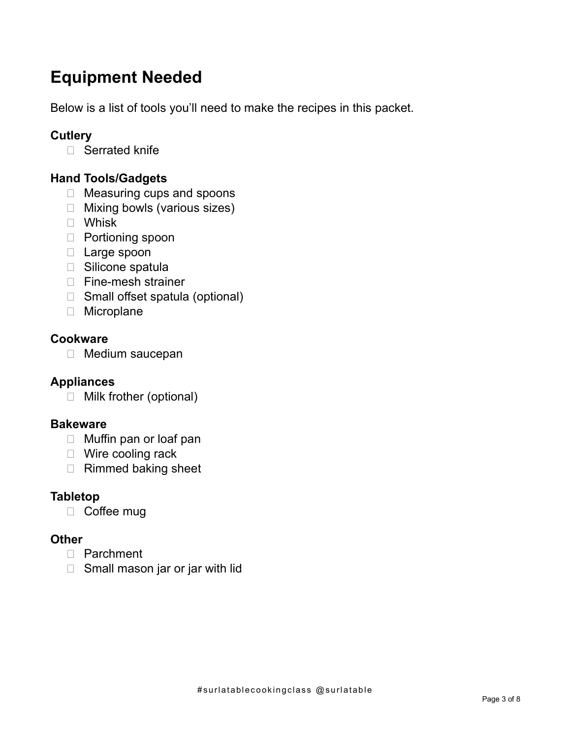# **Equipment Needed**

Below is a list of tools you'll need to make the recipes in this packet.

# **Cutlery**

□ Serrated knife

# **Hand Tools/Gadgets**

- □ Measuring cups and spoons
- □ Mixing bowls (various sizes)
- Whisk
- □ Portioning spoon
- □ Large spoon
- □ Silicone spatula
- □ Fine-mesh strainer
- □ Small offset spatula (optional)
- □ Microplane

### **Cookware**

□ Medium saucepan

# **Appliances**

□ Milk frother (optional)

#### **Bakeware**

- □ Muffin pan or loaf pan
- □ Wire cooling rack
- □ Rimmed baking sheet

# **Tabletop**

□ Coffee mug

# **Other**

- Parchment
- $\Box$  Small mason jar or jar with lid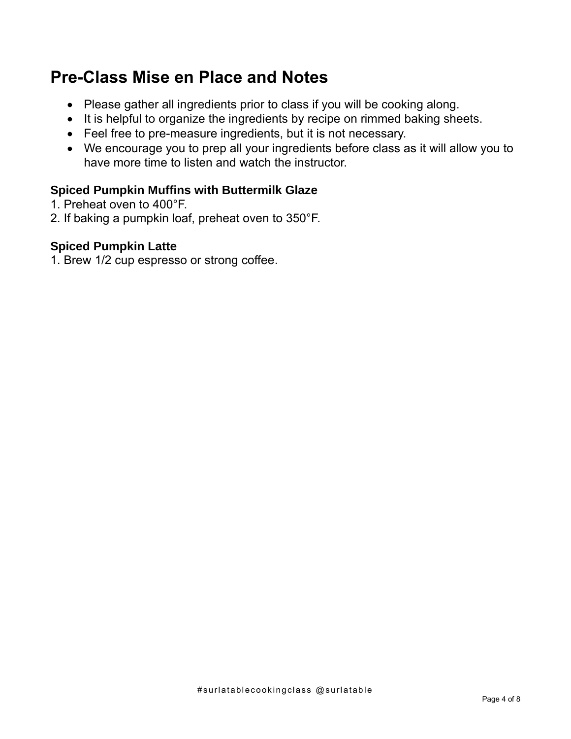# **Pre-Class Mise en Place and Notes**

- Please gather all ingredients prior to class if you will be cooking along.
- It is helpful to organize the ingredients by recipe on rimmed baking sheets.
- Feel free to pre-measure ingredients, but it is not necessary.
- We encourage you to prep all your ingredients before class as it will allow you to have more time to listen and watch the instructor.

# **Spiced Pumpkin Muffins with Buttermilk Glaze**

- 1. Preheat oven to 400°F.
- 2. If baking a pumpkin loaf, preheat oven to 350°F.

### **Spiced Pumpkin Latte**

1. Brew 1/2 cup espresso or strong coffee.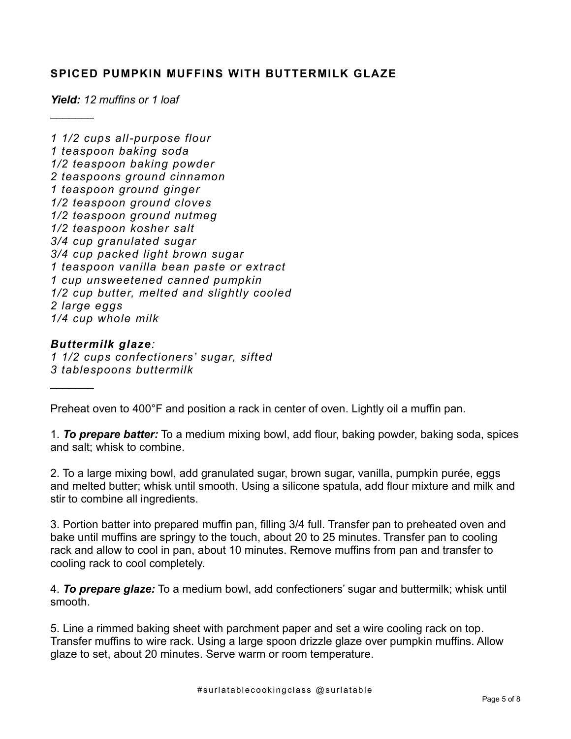#### **SPICED PUMPKIN MUFFINS WITH BUTTERMILK GLAZE**

*Yield: 12 muffins or 1 loaf*

 $\frac{1}{2}$ 

*1 1/2 cups all-purpose flour 1 teaspoon baking soda 1/2 teaspoon baking powder 2 teaspoons ground cinnamon 1 teaspoon ground ginger 1/2 teaspoon ground cloves 1/2 teaspoon ground nutmeg 1/2 teaspoon kosher salt 3/4 cup granulated sugar 3/4 cup packed light brown sugar 1 teaspoon vanilla bean paste or extract 1 cup unsweetened canned pumpkin 1/2 cup butter, melted and slightly cooled 2 large eggs 1/4 cup whole milk*

*Buttermilk glaze:*

 $\frac{1}{2}$ 

*1 1/2 cups confectioners' sugar, sifted 3 tablespoons buttermilk*

Preheat oven to 400°F and position a rack in center of oven. Lightly oil a muffin pan.

1. *To prepare batter:* To a medium mixing bowl, add flour, baking powder, baking soda, spices and salt; whisk to combine.

2. To a large mixing bowl, add granulated sugar, brown sugar, vanilla, pumpkin purée, eggs and melted butter; whisk until smooth. Using a silicone spatula, add flour mixture and milk and stir to combine all ingredients.

3. Portion batter into prepared muffin pan, filling 3/4 full. Transfer pan to preheated oven and bake until muffins are springy to the touch, about 20 to 25 minutes. Transfer pan to cooling rack and allow to cool in pan, about 10 minutes. Remove muffins from pan and transfer to cooling rack to cool completely.

4. *To prepare glaze:* To a medium bowl, add confectioners' sugar and buttermilk; whisk until smooth.

5. Line a rimmed baking sheet with parchment paper and set a wire cooling rack on top. Transfer muffins to wire rack. Using a large spoon drizzle glaze over pumpkin muffins. Allow glaze to set, about 20 minutes. Serve warm or room temperature.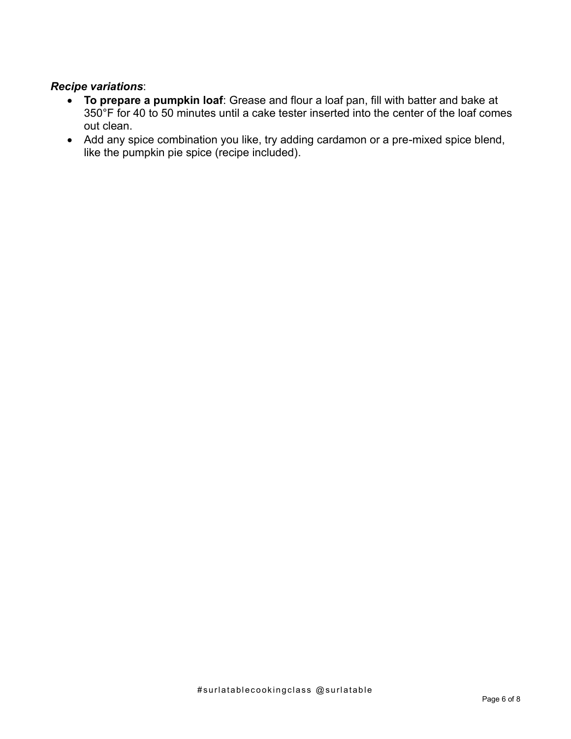#### *Recipe variations*:

- **To prepare a pumpkin loaf**: Grease and flour a loaf pan, fill with batter and bake at 350°F for 40 to 50 minutes until a cake tester inserted into the center of the loaf comes out clean.
- Add any spice combination you like, try adding cardamon or a pre-mixed spice blend, like the pumpkin pie spice (recipe included).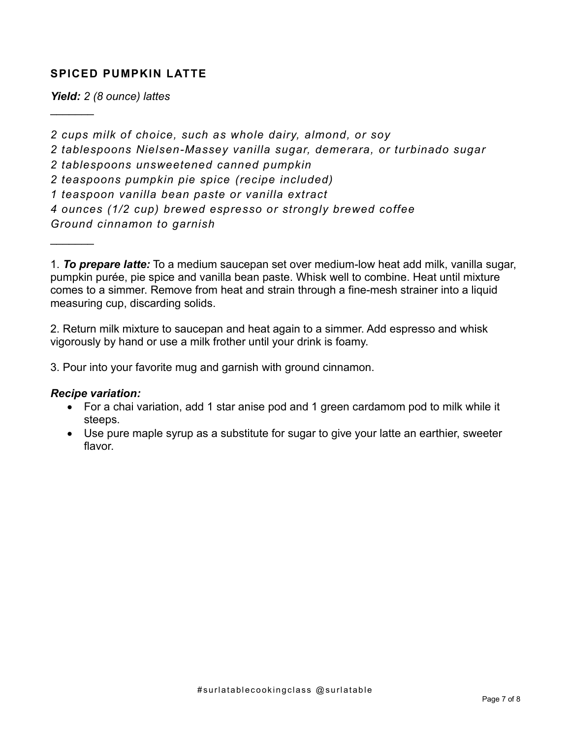#### **SPICED PUMPKIN LATTE**

*Yield: 2 (8 ounce) lattes*

 $\frac{1}{2}$ 

 $\frac{1}{2}$ 

*2 cups milk of choice, such as whole dairy, almond, or soy 2 tablespoons Nielsen-Massey vanilla sugar, demerara, or turbinado sugar 2 tablespoons unsweetened canned pumpkin 2 teaspoons pumpkin pie spice (recipe included) 1 teaspoon vanilla bean paste or vanilla extract 4 ounces (1/2 cup) brewed espresso or strongly brewed coffee Ground cinnamon to garnish*

1. *To prepare latte:* To a medium saucepan set over medium-low heat add milk, vanilla sugar, pumpkin purée, pie spice and vanilla bean paste. Whisk well to combine. Heat until mixture comes to a simmer. Remove from heat and strain through a fine-mesh strainer into a liquid measuring cup, discarding solids.

2. Return milk mixture to saucepan and heat again to a simmer. Add espresso and whisk vigorously by hand or use a milk frother until your drink is foamy.

3. Pour into your favorite mug and garnish with ground cinnamon.

#### *Recipe variation:*

- For a chai variation, add 1 star anise pod and 1 green cardamom pod to milk while it steeps.
- Use pure maple syrup as a substitute for sugar to give your latte an earthier, sweeter flavor.